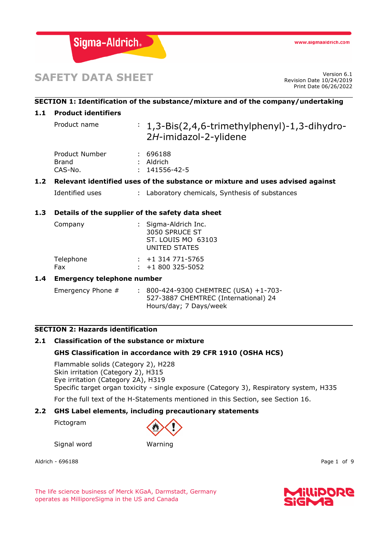

# **SAFETY DATA SHEET**

Revision Date 10/24/2019 Print Date 06/26/2022

# **SECTION 1: Identification of the substance/mixture and of the company/undertaking**

### **1.1 Product identifiers**

Product name : 1,3-Bis(2,4,6-trimethylphenyl)-1,3-dihydro-2*H*-imidazol-2-ylidene

| Product Number | : 696188            |
|----------------|---------------------|
| Brand          | $:$ Aldrich         |
| CAS-No.        | $: 141556 - 42 - 5$ |

# **1.2 Relevant identified uses of the substance or mixture and uses advised against**

Identified uses : Laboratory chemicals, Synthesis of substances

# **1.3 Details of the supplier of the safety data sheet**

| Company          | : Sigma-Aldrich Inc.<br>3050 SPRUCE ST<br>ST. LOUIS MO 63103<br>UNITED STATES |  |
|------------------|-------------------------------------------------------------------------------|--|
| Telephone<br>Fax | $: +1314771 - 5765$<br>$: +1800325 - 5052$                                    |  |

#### **1.4 Emergency telephone number**

Emergency Phone # : 800-424-9300 CHEMTREC (USA) +1-703-527-3887 CHEMTREC (International) 24 Hours/day; 7 Days/week

#### **SECTION 2: Hazards identification**

### **2.1 Classification of the substance or mixture**

#### **GHS Classification in accordance with 29 CFR 1910 (OSHA HCS)**

Flammable solids (Category 2), H228 Skin irritation (Category 2), H315 Eye irritation (Category 2A), H319 Specific target organ toxicity - single exposure (Category 3), Respiratory system, H335

For the full text of the H-Statements mentioned in this Section, see Section 16.

#### **2.2 GHS Label elements, including precautionary statements**

Pictogram



Signal word Warning

Aldrich - 696188 Page 1 of 9

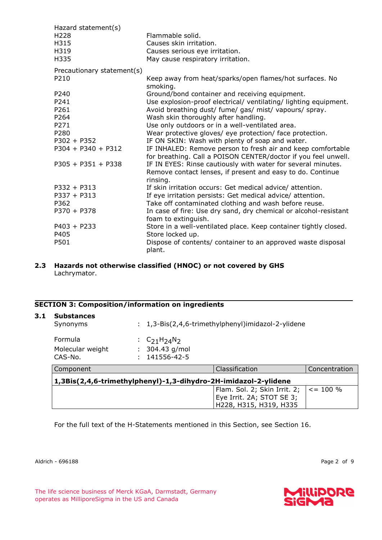| Hazard statement(s)        |                                                                                                                               |
|----------------------------|-------------------------------------------------------------------------------------------------------------------------------|
| H <sub>228</sub>           | Flammable solid.                                                                                                              |
| H315                       | Causes skin irritation.                                                                                                       |
| H319                       | Causes serious eye irritation.                                                                                                |
| H335                       | May cause respiratory irritation.                                                                                             |
| Precautionary statement(s) |                                                                                                                               |
| P210                       | Keep away from heat/sparks/open flames/hot surfaces. No                                                                       |
|                            | smoking.                                                                                                                      |
| P240                       | Ground/bond container and receiving equipment.                                                                                |
| P241                       | Use explosion-proof electrical/ ventilating/ lighting equipment.                                                              |
| P261                       | Avoid breathing dust/ fume/ gas/ mist/ vapours/ spray.                                                                        |
| P264                       | Wash skin thoroughly after handling.                                                                                          |
| P271                       | Use only outdoors or in a well-ventilated area.                                                                               |
| P280                       | Wear protective gloves/ eye protection/ face protection.                                                                      |
| $P302 + P352$              | IF ON SKIN: Wash with plenty of soap and water.                                                                               |
| $P304 + P340 + P312$       | IF INHALED: Remove person to fresh air and keep comfortable<br>for breathing. Call a POISON CENTER/doctor if you feel unwell. |
| $P305 + P351 + P338$       | IF IN EYES: Rinse cautiously with water for several minutes.                                                                  |
|                            | Remove contact lenses, if present and easy to do. Continue<br>rinsing.                                                        |
| $P332 + P313$              | If skin irritation occurs: Get medical advice/attention.                                                                      |
| $P337 + P313$              | If eye irritation persists: Get medical advice/ attention.                                                                    |
| P362                       | Take off contaminated clothing and wash before reuse.                                                                         |
| $P370 + P378$              | In case of fire: Use dry sand, dry chemical or alcohol-resistant                                                              |
|                            | foam to extinguish.                                                                                                           |
| $P403 + P233$              | Store in a well-ventilated place. Keep container tightly closed.                                                              |
| P405                       | Store locked up.                                                                                                              |
| P501                       | Dispose of contents/ container to an approved waste disposal                                                                  |
|                            | plant.                                                                                                                        |

#### **2.3 Hazards not otherwise classified (HNOC) or not covered by GHS** Lachrymator.

# **SECTION 3: Composition/information on ingredients**

| <b>Substances</b><br>Synonyms          |                                                      | : 1,3-Bis(2,4,6-trimethylphenyl)imidazol-2-ylidene              |               |
|----------------------------------------|------------------------------------------------------|-----------------------------------------------------------------|---------------|
| Formula<br>Molecular weight<br>CAS-No. | : $C_{21}H_{24}N_{2}$<br>304.43 g/mol<br>141556-42-5 |                                                                 |               |
| Component                              |                                                      | Classification                                                  | Concentration |
|                                        |                                                      | 1,3Bis(2,4,6-trimethylphenyl)-1,3-dihydro-2H-imidazol-2-ylidene |               |
|                                        |                                                      | Flam. Sol. 2; Skin Irrit. 2; $  \lt = 100 \%$                   |               |

For the full text of the H-Statements mentioned in this Section, see Section 16.

Aldrich - 696188 Page 2 of 9

Eye Irrit. 2A; STOT SE 3; H228, H315, H319, H335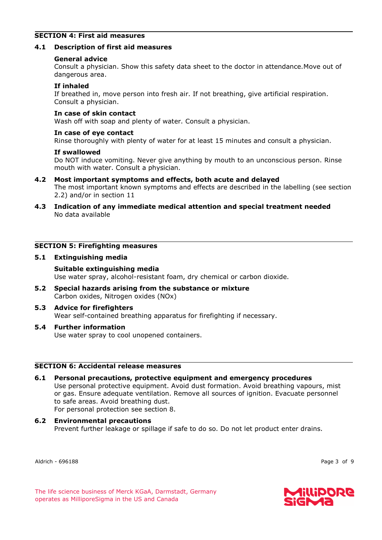## **SECTION 4: First aid measures**

#### **4.1 Description of first aid measures**

#### **General advice**

Consult a physician. Show this safety data sheet to the doctor in attendance.Move out of dangerous area.

#### **If inhaled**

If breathed in, move person into fresh air. If not breathing, give artificial respiration. Consult a physician.

#### **In case of skin contact**

Wash off with soap and plenty of water. Consult a physician.

#### **In case of eye contact**

Rinse thoroughly with plenty of water for at least 15 minutes and consult a physician.

#### **If swallowed**

Do NOT induce vomiting. Never give anything by mouth to an unconscious person. Rinse mouth with water. Consult a physician.

- **4.2 Most important symptoms and effects, both acute and delayed** The most important known symptoms and effects are described in the labelling (see section 2.2) and/or in section 11
- **4.3 Indication of any immediate medical attention and special treatment needed** No data available

# **SECTION 5: Firefighting measures**

#### **5.1 Extinguishing media**

# **Suitable extinguishing media**

Use water spray, alcohol-resistant foam, dry chemical or carbon dioxide.

**5.2 Special hazards arising from the substance or mixture** Carbon oxides, Nitrogen oxides (NOx)

#### **5.3 Advice for firefighters** Wear self-contained breathing apparatus for firefighting if necessary.

**5.4 Further information** Use water spray to cool unopened containers.

#### **SECTION 6: Accidental release measures**

- **6.1 Personal precautions, protective equipment and emergency procedures** Use personal protective equipment. Avoid dust formation. Avoid breathing vapours, mist or gas. Ensure adequate ventilation. Remove all sources of ignition. Evacuate personnel to safe areas. Avoid breathing dust. For personal protection see section 8.
- **6.2 Environmental precautions** Prevent further leakage or spillage if safe to do so. Do not let product enter drains.

Aldrich - 696188 Page 3 of 9



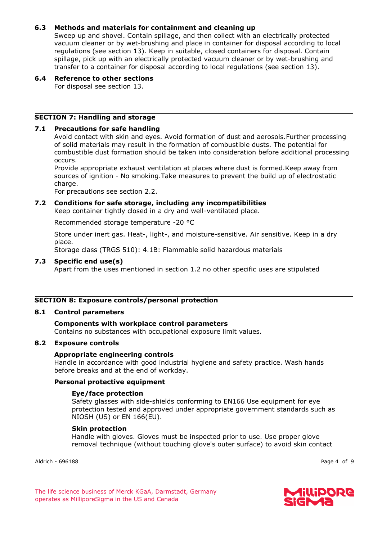# **6.3 Methods and materials for containment and cleaning up**

Sweep up and shovel. Contain spillage, and then collect with an electrically protected vacuum cleaner or by wet-brushing and place in container for disposal according to local regulations (see section 13). Keep in suitable, closed containers for disposal. Contain spillage, pick up with an electrically protected vacuum cleaner or by wet-brushing and transfer to a container for disposal according to local regulations (see section 13).

# **6.4 Reference to other sections**

For disposal see section 13.

# **SECTION 7: Handling and storage**

# **7.1 Precautions for safe handling**

Avoid contact with skin and eyes. Avoid formation of dust and aerosols.Further processing of solid materials may result in the formation of combustible dusts. The potential for combustible dust formation should be taken into consideration before additional processing occurs.

Provide appropriate exhaust ventilation at places where dust is formed.Keep away from sources of ignition - No smoking.Take measures to prevent the build up of electrostatic charge.

For precautions see section 2.2.

# **7.2 Conditions for safe storage, including any incompatibilities**

Keep container tightly closed in a dry and well-ventilated place.

Recommended storage temperature -20 °C

Store under inert gas. Heat-, light-, and moisture-sensitive. Air sensitive. Keep in a dry place.

Storage class (TRGS 510): 4.1B: Flammable solid hazardous materials

#### **7.3 Specific end use(s)**

Apart from the uses mentioned in section 1.2 no other specific uses are stipulated

# **SECTION 8: Exposure controls/personal protection**

#### **8.1 Control parameters**

#### **Components with workplace control parameters** Contains no substances with occupational exposure limit values.

#### **8.2 Exposure controls**

#### **Appropriate engineering controls**

Handle in accordance with good industrial hygiene and safety practice. Wash hands before breaks and at the end of workday.

### **Personal protective equipment**

#### **Eye/face protection**

Safety glasses with side-shields conforming to EN166 Use equipment for eye protection tested and approved under appropriate government standards such as NIOSH (US) or EN 166(EU).

#### **Skin protection**

Handle with gloves. Gloves must be inspected prior to use. Use proper glove removal technique (without touching glove's outer surface) to avoid skin contact

Aldrich - 696188 Page 4 of 9

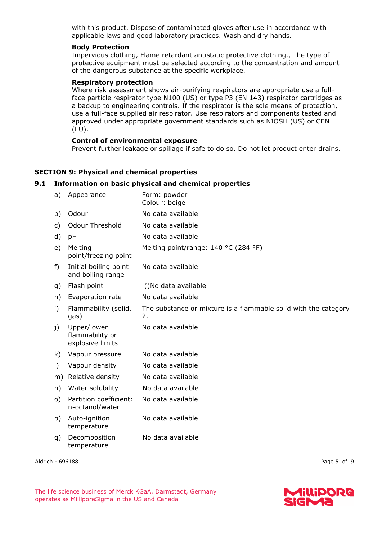with this product. Dispose of contaminated gloves after use in accordance with applicable laws and good laboratory practices. Wash and dry hands.

#### **Body Protection**

Impervious clothing, Flame retardant antistatic protective clothing., The type of protective equipment must be selected according to the concentration and amount of the dangerous substance at the specific workplace.

#### **Respiratory protection**

Where risk assessment shows air-purifying respirators are appropriate use a fullface particle respirator type N100 (US) or type P3 (EN 143) respirator cartridges as a backup to engineering controls. If the respirator is the sole means of protection, use a full-face supplied air respirator. Use respirators and components tested and approved under appropriate government standards such as NIOSH (US) or CEN (EU).

#### **Control of environmental exposure**

Prevent further leakage or spillage if safe to do so. Do not let product enter drains.

#### **SECTION 9: Physical and chemical properties**

#### **9.1 Information on basic physical and chemical properties**

| a)        | Appearance                                         | Form: powder<br>Colour: beige                                         |
|-----------|----------------------------------------------------|-----------------------------------------------------------------------|
| b)        | Odour                                              | No data available                                                     |
| c)        | <b>Odour Threshold</b>                             | No data available                                                     |
| d)        | pH                                                 | No data available                                                     |
| e)        | Melting<br>point/freezing point                    | Melting point/range: 140 °C (284 °F)                                  |
| f)        | Initial boiling point<br>and boiling range         | No data available                                                     |
| g)        | Flash point                                        | ()No data available                                                   |
| h)        | Evaporation rate                                   | No data available                                                     |
| i)        | Flammability (solid,<br>gas)                       | The substance or mixture is a flammable solid with the category<br>2. |
| j)        | Upper/lower<br>flammability or<br>explosive limits | No data available                                                     |
| k)        | Vapour pressure                                    | No data available                                                     |
| $\vert$ ) | Vapour density                                     | No data available                                                     |
| m)        | Relative density                                   | No data available                                                     |
| n)        | Water solubility                                   | No data available                                                     |
| o)        | Partition coefficient:<br>n-octanol/water          | No data available                                                     |
| p)        | Auto-ignition<br>temperature                       | No data available                                                     |
| q)        | Decomposition<br>temperature                       | No data available                                                     |
|           |                                                    |                                                                       |

Aldrich - 696188 Page 5 of 9

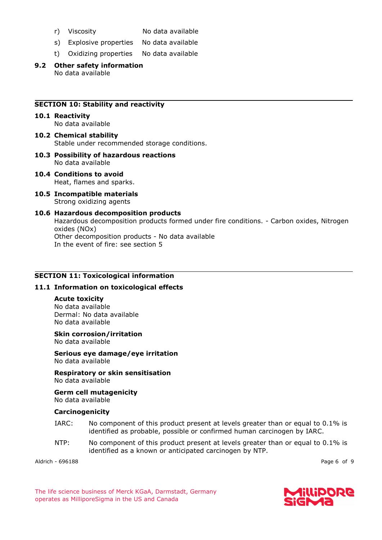- 
- r) Viscosity No data available
- s) Explosive properties No data available
- t) Oxidizing properties No data available
- **9.2 Other safety information** No data available

### **SECTION 10: Stability and reactivity**

- **10.1 Reactivity** No data available
- **10.2 Chemical stability** Stable under recommended storage conditions.
- **10.3 Possibility of hazardous reactions** No data available
- **10.4 Conditions to avoid** Heat, flames and sparks.
- **10.5 Incompatible materials** Strong oxidizing agents
- **10.6 Hazardous decomposition products** Hazardous decomposition products formed under fire conditions. - Carbon oxides, Nitrogen oxides (NOx) Other decomposition products - No data available In the event of fire: see section 5

#### **SECTION 11: Toxicological information**

#### **11.1 Information on toxicological effects**

# **Acute toxicity**

No data available Dermal: No data available No data available

# **Skin corrosion/irritation**

No data available

**Serious eye damage/eye irritation** No data available

**Respiratory or skin sensitisation** No data available

**Germ cell mutagenicity** No data available

#### **Carcinogenicity**

- IARC: No component of this product present at levels greater than or equal to 0.1% is identified as probable, possible or confirmed human carcinogen by IARC.
- NTP: No component of this product present at levels greater than or equal to 0.1% is identified as a known or anticipated carcinogen by NTP.

Aldrich - 696188 Page 6 of 9

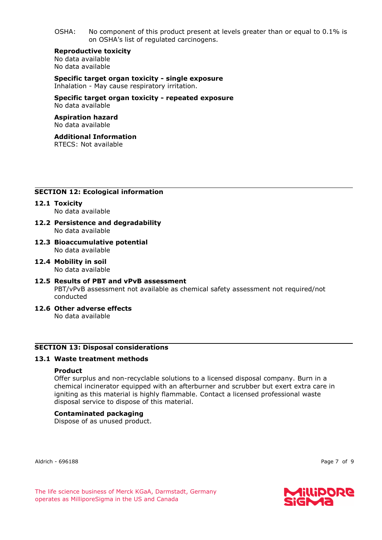OSHA: No component of this product present at levels greater than or equal to 0.1% is on OSHA's list of regulated carcinogens.

**Reproductive toxicity** No data available

No data available

**Specific target organ toxicity - single exposure** Inhalation - May cause respiratory irritation.

**Specific target organ toxicity - repeated exposure** No data available

#### **Aspiration hazard** No data available

#### **Additional Information** RTECS: Not available

# **SECTION 12: Ecological information**

- **12.1 Toxicity** No data available
- **12.2 Persistence and degradability** No data available
- **12.3 Bioaccumulative potential** No data available
- **12.4 Mobility in soil** No data available
- **12.5 Results of PBT and vPvB assessment** PBT/vPvB assessment not available as chemical safety assessment not required/not conducted
- **12.6 Other adverse effects** No data available

#### **SECTION 13: Disposal considerations**

#### **13.1 Waste treatment methods**

#### **Product**

Offer surplus and non-recyclable solutions to a licensed disposal company. Burn in a chemical incinerator equipped with an afterburner and scrubber but exert extra care in igniting as this material is highly flammable. Contact a licensed professional waste disposal service to dispose of this material.

#### **Contaminated packaging**

Dispose of as unused product.

Aldrich - 696188 Page 7 of 9

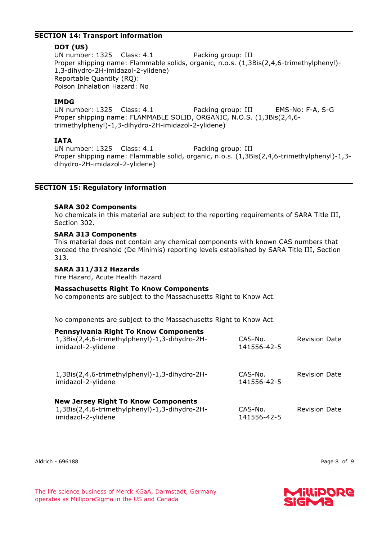#### **SECTION 14: Transport information**

# **DOT (US)**

UN number: 1325 Class: 4.1 Packing group: III Proper shipping name: Flammable solids, organic, n.o.s. (1,3Bis(2,4,6-trimethylphenyl)- 1,3-dihydro-2H-imidazol-2-ylidene) Reportable Quantity (RQ): Poison Inhalation Hazard: No

# **IMDG**

UN number: 1325 Class: 4.1 Packing group: III EMS-No: F-A, S-G Proper shipping name: FLAMMABLE SOLID, ORGANIC, N.O.S. (1,3Bis(2,4,6 trimethylphenyl)-1,3-dihydro-2H-imidazol-2-ylidene)

# **IATA**

UN number: 1325 Class: 4.1 Packing group: III Proper shipping name: Flammable solid, organic, n.o.s. (1,3Bis(2,4,6-trimethylphenyl)-1,3 dihydro-2H-imidazol-2-ylidene)

# **SECTION 15: Regulatory information**

# **SARA 302 Components**

No chemicals in this material are subject to the reporting requirements of SARA Title III, Section 302.

# **SARA 313 Components**

This material does not contain any chemical components with known CAS numbers that exceed the threshold (De Minimis) reporting levels established by SARA Title III, Section 313.

# **SARA 311/312 Hazards**

Fire Hazard, Acute Health Hazard

#### **Massachusetts Right To Know Components**

No components are subject to the Massachusetts Right to Know Act.

No components are subject to the Massachusetts Right to Know Act.

#### **Pennsylvania Right To Know Components**

| 1,3Bis(2,4,6-trimethylphenyl)-1,3-dihydro-2H-<br>imidazol-2-ylidene                         | CAS-No.<br>141556-42-5 | <b>Revision Date</b> |
|---------------------------------------------------------------------------------------------|------------------------|----------------------|
| 1,3Bis(2,4,6-trimethylphenyl)-1,3-dihydro-2H-<br>imidazol-2-ylidene                         | CAS-No.<br>141556-42-5 | <b>Revision Date</b> |
| <b>New Jersey Right To Know Components</b><br>1,3Bis(2,4,6-trimethylphenyl)-1,3-dihydro-2H- | CAS-No.                | <b>Revision Date</b> |

141556-42-5

Aldrich - 696188 Page 8 of 9

imidazol-2-ylidene